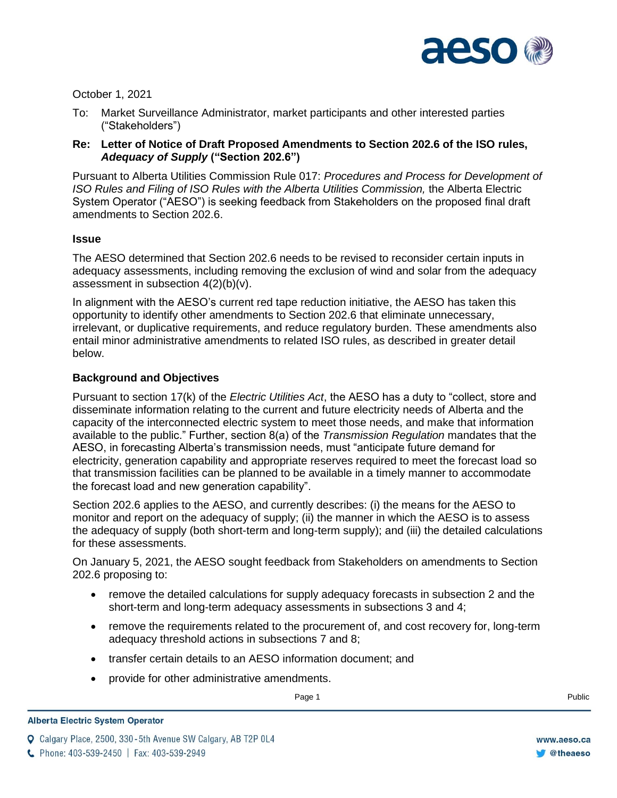

October 1, 2021

- To: Market Surveillance Administrator, market participants and other interested parties ("Stakeholders")
- **Re: Letter of Notice of Draft Proposed Amendments to Section 202.6 of the ISO rules,**  *Adequacy of Supply* **("Section 202.6")**

Pursuant to Alberta Utilities Commission Rule 017: *Procedures and Process for Development of ISO Rules and Filing of ISO Rules with the Alberta Utilities Commission, the Alberta Electric* System Operator ("AESO") is seeking feedback from Stakeholders on the proposed final draft amendments to Section 202.6.

# **Issue**

The AESO determined that Section 202.6 needs to be revised to reconsider certain inputs in adequacy assessments, including removing the exclusion of wind and solar from the adequacy assessment in subsection 4(2)(b)(v).

In alignment with the AESO's current red tape reduction initiative, the AESO has taken this opportunity to identify other amendments to Section 202.6 that eliminate unnecessary, irrelevant, or duplicative requirements, and reduce regulatory burden. These amendments also entail minor administrative amendments to related ISO rules, as described in greater detail below.

# **Background and Objectives**

Pursuant to section 17(k) of the *Electric Utilities Act*, the AESO has a duty to "collect, store and disseminate information relating to the current and future electricity needs of Alberta and the capacity of the interconnected electric system to meet those needs, and make that information available to the public." Further, section 8(a) of the *Transmission Regulation* mandates that the AESO, in forecasting Alberta's transmission needs, must "anticipate future demand for electricity, generation capability and appropriate reserves required to meet the forecast load so that transmission facilities can be planned to be available in a timely manner to accommodate the forecast load and new generation capability".

Section 202.6 applies to the AESO, and currently describes: (i) the means for the AESO to monitor and report on the adequacy of supply; (ii) the manner in which the AESO is to assess the adequacy of supply (both short-term and long-term supply); and (iii) the detailed calculations for these assessments.

On January 5, 2021, the AESO sought feedback from Stakeholders on amendments to Section 202.6 proposing to:

- remove the detailed calculations for supply adequacy forecasts in subsection 2 and the short-term and long-term adequacy assessments in subsections 3 and 4;
- remove the requirements related to the procurement of, and cost recovery for, long-term adequacy threshold actions in subsections 7 and 8;
- transfer certain details to an AESO information document; and
- provide for other administrative amendments.

Page 1 Public Research of the Second Library and Second Library and Second Library and Public Research of the R

**Q** Calgary Place, 2500, 330-5th Avenue SW Calgary, AB T2P 0L4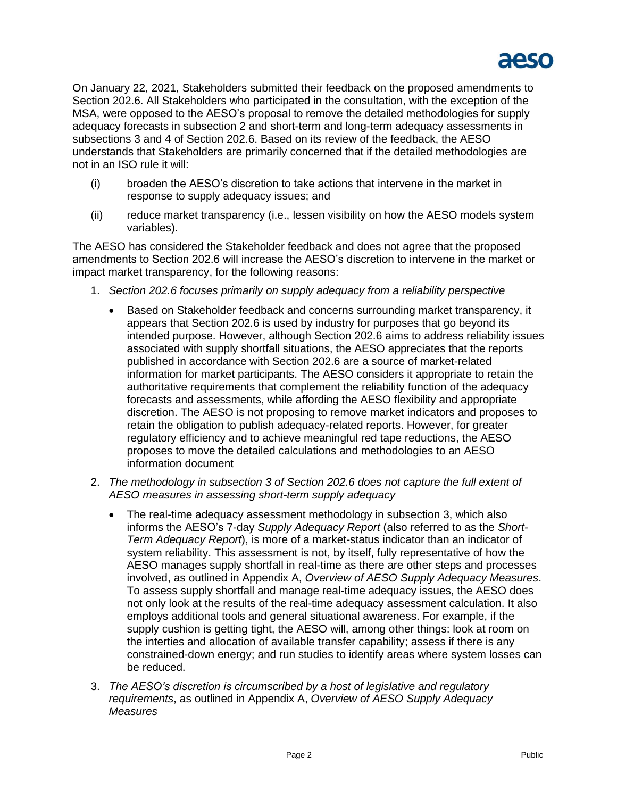

On January 22, 2021, Stakeholders submitted their feedback on the proposed amendments to Section 202.6. All Stakeholders who participated in the consultation, with the exception of the MSA, were opposed to the AESO's proposal to remove the detailed methodologies for supply adequacy forecasts in subsection 2 and short-term and long-term adequacy assessments in subsections 3 and 4 of Section 202.6. Based on its review of the feedback, the AESO understands that Stakeholders are primarily concerned that if the detailed methodologies are not in an ISO rule it will:

- (i) broaden the AESO's discretion to take actions that intervene in the market in response to supply adequacy issues; and
- (ii) reduce market transparency (i.e., lessen visibility on how the AESO models system variables).

The AESO has considered the Stakeholder feedback and does not agree that the proposed amendments to Section 202.6 will increase the AESO's discretion to intervene in the market or impact market transparency, for the following reasons:

- 1. *Section 202.6 focuses primarily on supply adequacy from a reliability perspective*
	- Based on Stakeholder feedback and concerns surrounding market transparency, it appears that Section 202.6 is used by industry for purposes that go beyond its intended purpose. However, although Section 202.6 aims to address reliability issues associated with supply shortfall situations, the AESO appreciates that the reports published in accordance with Section 202.6 are a source of market-related information for market participants. The AESO considers it appropriate to retain the authoritative requirements that complement the reliability function of the adequacy forecasts and assessments, while affording the AESO flexibility and appropriate discretion. The AESO is not proposing to remove market indicators and proposes to retain the obligation to publish adequacy-related reports. However, for greater regulatory efficiency and to achieve meaningful red tape reductions, the AESO proposes to move the detailed calculations and methodologies to an AESO information document
- 2. *The methodology in subsection 3 of Section 202.6 does not capture the full extent of AESO measures in assessing short-term supply adequacy*
	- The real-time adequacy assessment methodology in subsection 3, which also informs the AESO's 7-day *Supply Adequacy Report* (also referred to as the *Short-Term Adequacy Report*), is more of a market-status indicator than an indicator of system reliability. This assessment is not, by itself, fully representative of how the AESO manages supply shortfall in real-time as there are other steps and processes involved, as outlined in Appendix A, *Overview of AESO Supply Adequacy Measures*. To assess supply shortfall and manage real-time adequacy issues, the AESO does not only look at the results of the real-time adequacy assessment calculation. It also employs additional tools and general situational awareness. For example, if the supply cushion is getting tight, the AESO will, among other things: look at room on the interties and allocation of available transfer capability; assess if there is any constrained-down energy; and run studies to identify areas where system losses can be reduced.
- 3. *The AESO's discretion is circumscribed by a host of legislative and regulatory requirements*, as outlined in Appendix A, *Overview of AESO Supply Adequacy Measures*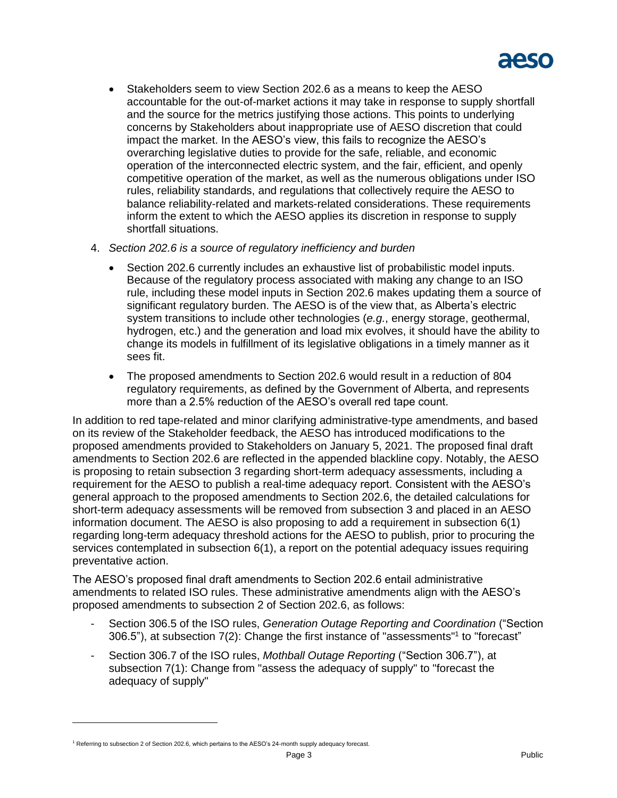

- Stakeholders seem to view Section 202.6 as a means to keep the AESO accountable for the out-of-market actions it may take in response to supply shortfall and the source for the metrics justifying those actions. This points to underlying concerns by Stakeholders about inappropriate use of AESO discretion that could impact the market. In the AESO's view, this fails to recognize the AESO's overarching legislative duties to provide for the safe, reliable, and economic operation of the interconnected electric system, and the fair, efficient, and openly competitive operation of the market, as well as the numerous obligations under ISO rules, reliability standards, and regulations that collectively require the AESO to balance reliability-related and markets-related considerations. These requirements inform the extent to which the AESO applies its discretion in response to supply shortfall situations.
- 4. *Section 202.6 is a source of regulatory inefficiency and burden*
	- Section 202.6 currently includes an exhaustive list of probabilistic model inputs. Because of the regulatory process associated with making any change to an ISO rule, including these model inputs in Section 202.6 makes updating them a source of significant regulatory burden. The AESO is of the view that, as Alberta's electric system transitions to include other technologies (*e.g.*, energy storage, geothermal, hydrogen, etc.) and the generation and load mix evolves, it should have the ability to change its models in fulfillment of its legislative obligations in a timely manner as it sees fit.
	- The proposed amendments to Section 202.6 would result in a reduction of 804 regulatory requirements, as defined by the Government of Alberta, and represents more than a 2.5% reduction of the AESO's overall red tape count.

In addition to red tape-related and minor clarifying administrative-type amendments, and based on its review of the Stakeholder feedback, the AESO has introduced modifications to the proposed amendments provided to Stakeholders on January 5, 2021. The proposed final draft amendments to Section 202.6 are reflected in the appended blackline copy. Notably, the AESO is proposing to retain subsection 3 regarding short-term adequacy assessments, including a requirement for the AESO to publish a real-time adequacy report. Consistent with the AESO's general approach to the proposed amendments to Section 202.6, the detailed calculations for short-term adequacy assessments will be removed from subsection 3 and placed in an AESO information document. The AESO is also proposing to add a requirement in subsection 6(1) regarding long-term adequacy threshold actions for the AESO to publish, prior to procuring the services contemplated in subsection 6(1), a report on the potential adequacy issues requiring preventative action.

The AESO's proposed final draft amendments to Section 202.6 entail administrative amendments to related ISO rules. These administrative amendments align with the AESO's proposed amendments to subsection 2 of Section 202.6, as follows:

- Section 306.5 of the ISO rules, *Generation Outage Reporting and Coordination* ("Section 306.5"), at subsection 7(2): Change the first instance of "assessments" 1 to "forecast"
- Section 306.7 of the ISO rules, *Mothball Outage Reporting* ("Section 306.7"), at subsection 7(1): Change from "assess the adequacy of supply" to "forecast the adequacy of supply"

<sup>&</sup>lt;sup>1</sup> Referring to subsection 2 of Section 202.6, which pertains to the AESO's 24-month supply adequacy forecast.